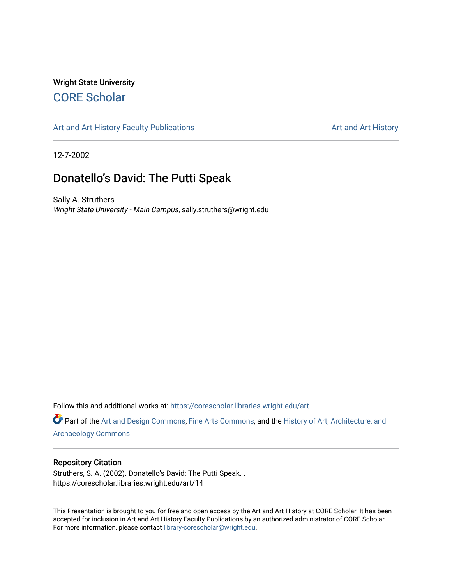## Wright State University [CORE Scholar](https://corescholar.libraries.wright.edu/)

[Art and Art History Faculty Publications](https://corescholar.libraries.wright.edu/art) [Art and Art History](https://corescholar.libraries.wright.edu/art_comm) Art and Art History

12-7-2002

# Donatello's David: The Putti Speak

Sally A. Struthers Wright State University - Main Campus, sally.struthers@wright.edu

Follow this and additional works at: [https://corescholar.libraries.wright.edu/art](https://corescholar.libraries.wright.edu/art?utm_source=corescholar.libraries.wright.edu%2Fart%2F14&utm_medium=PDF&utm_campaign=PDFCoverPages) 

Part of the [Art and Design Commons](http://network.bepress.com/hgg/discipline/1049?utm_source=corescholar.libraries.wright.edu%2Fart%2F14&utm_medium=PDF&utm_campaign=PDFCoverPages), [Fine Arts Commons](http://network.bepress.com/hgg/discipline/1141?utm_source=corescholar.libraries.wright.edu%2Fart%2F14&utm_medium=PDF&utm_campaign=PDFCoverPages), and the [History of Art, Architecture, and](http://network.bepress.com/hgg/discipline/510?utm_source=corescholar.libraries.wright.edu%2Fart%2F14&utm_medium=PDF&utm_campaign=PDFCoverPages) [Archaeology Commons](http://network.bepress.com/hgg/discipline/510?utm_source=corescholar.libraries.wright.edu%2Fart%2F14&utm_medium=PDF&utm_campaign=PDFCoverPages) 

#### Repository Citation

Struthers, S. A. (2002). Donatello's David: The Putti Speak. . https://corescholar.libraries.wright.edu/art/14

This Presentation is brought to you for free and open access by the Art and Art History at CORE Scholar. It has been accepted for inclusion in Art and Art History Faculty Publications by an authorized administrator of CORE Scholar. For more information, please contact [library-corescholar@wright.edu](mailto:library-corescholar@wright.edu).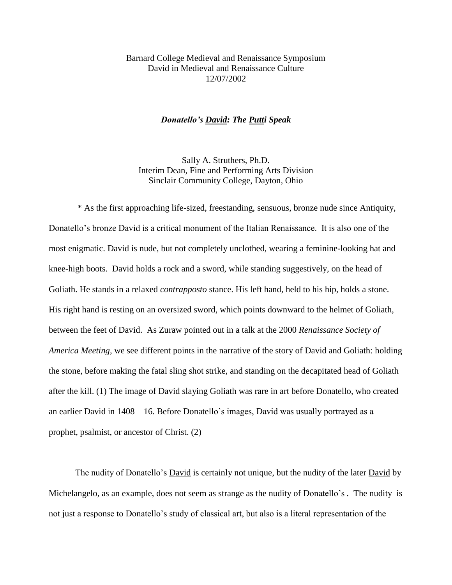Barnard College Medieval and Renaissance Symposium David in Medieval and Renaissance Culture 12/07/2002

### *Donatello's David: The Putti Speak*

Sally A. Struthers, Ph.D. Interim Dean, Fine and Performing Arts Division Sinclair Community College, Dayton, Ohio

\* As the first approaching life-sized, freestanding, sensuous, bronze nude since Antiquity, Donatello's bronze David is a critical monument of the Italian Renaissance. It is also one of the most enigmatic. David is nude, but not completely unclothed, wearing a feminine-looking hat and knee-high boots. David holds a rock and a sword, while standing suggestively, on the head of Goliath. He stands in a relaxed *contrapposto* stance. His left hand, held to his hip, holds a stone. His right hand is resting on an oversized sword, which points downward to the helmet of Goliath, between the feet of David. As Zuraw pointed out in a talk at the 2000 *Renaissance Society of America Meeting*, we see different points in the narrative of the story of David and Goliath: holding the stone, before making the fatal sling shot strike, and standing on the decapitated head of Goliath after the kill. (1) The image of David slaying Goliath was rare in art before Donatello, who created an earlier David in 1408 – 16. Before Donatello's images, David was usually portrayed as a prophet, psalmist, or ancestor of Christ. (2)

The nudity of Donatello's David is certainly not unique, but the nudity of the later David by Michelangelo, as an example, does not seem as strange as the nudity of Donatello's *.* The nudity is not just a response to Donatello's study of classical art, but also is a literal representation of the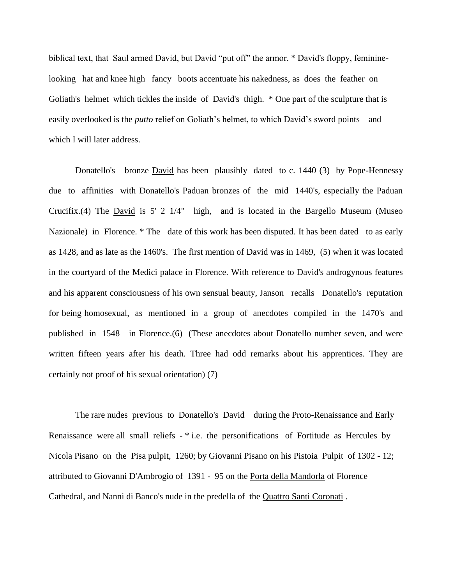biblical text, that Saul armed David, but David "put off" the armor. \* David's floppy, femininelooking hat and knee high fancy boots accentuate his nakedness, as does the feather on Goliath's helmet which tickles the inside of David's thigh. \* One part of the sculpture that is easily overlooked is the *putto* relief on Goliath's helmet, to which David's sword points – and which I will later address.

Donatello's bronze **David** has been plausibly dated to c. 1440 (3) by Pope-Hennessy due to affinities with Donatello's Paduan bronzes of the mid 1440's, especially the Paduan Crucifix.(4) The David is 5' 2 1/4" high, and is located in the Bargello Museum (Museo Nazionale) in Florence. \* The date of this work has been disputed. It has been dated to as early as 1428, and as late as the 1460's. The first mention of David was in 1469, (5) when it was located in the courtyard of the Medici palace in Florence. With reference to David's androgynous features and his apparent consciousness of his own sensual beauty, Janson recalls Donatello's reputation for being homosexual, as mentioned in a group of anecdotes compiled in the 1470's and published in 1548 in Florence.(6) (These anecdotes about Donatello number seven, and were written fifteen years after his death. Three had odd remarks about his apprentices. They are certainly not proof of his sexual orientation) (7)

The rare nudes previous to Donatello's David during the Proto-Renaissance and Early Renaissance were all small reliefs - \* i.e. the personifications of Fortitude as Hercules by Nicola Pisano on the Pisa pulpit, 1260; by Giovanni Pisano on his Pistoia Pulpit of 1302 - 12; attributed to Giovanni D'Ambrogio of 1391 - 95 on the Porta della Mandorla of Florence Cathedral, and Nanni di Banco's nude in the predella of the Quattro Santi Coronati .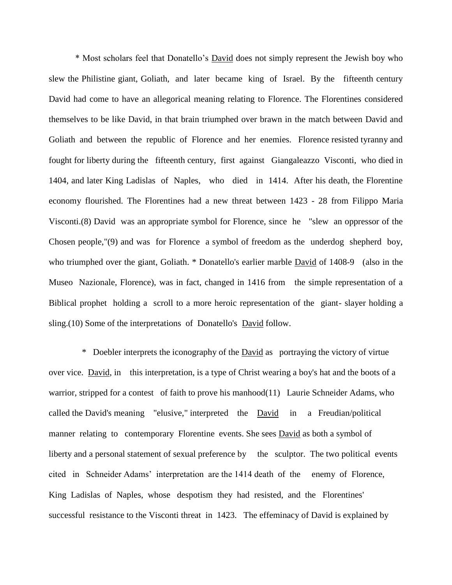\* Most scholars feel that Donatello's David does not simply represent the Jewish boy who slew the Philistine giant, Goliath, and later became king of Israel. By the fifteenth century David had come to have an allegorical meaning relating to Florence. The Florentines considered themselves to be like David, in that brain triumphed over brawn in the match between David and Goliath and between the republic of Florence and her enemies. Florence resisted tyranny and fought for liberty during the fifteenth century, first against Giangaleazzo Visconti, who died in 1404, and later King Ladislas of Naples, who died in 1414. After his death, the Florentine economy flourished. The Florentines had a new threat between 1423 - 28 from Filippo Maria Visconti.(8) David was an appropriate symbol for Florence, since he "slew an oppressor of the Chosen people,"(9) and was for Florence a symbol of freedom as the underdog shepherd boy, who triumphed over the giant, Goliath. \* Donatello's earlier marble David of 1408-9 (also in the Museo Nazionale, Florence), was in fact, changed in 1416 from the simple representation of a Biblical prophet holding a scroll to a more heroic representation of the giant- slayer holding a sling.(10) Some of the interpretations of Donatello's David follow.

\* Doebler interprets the iconography of the David as portraying the victory of virtue over vice. David, in this interpretation, is a type of Christ wearing a boy's hat and the boots of a warrior, stripped for a contest of faith to prove his manhood(11) Laurie Schneider Adams, who called the David's meaning "elusive," interpreted the David in a Freudian/political manner relating to contemporary Florentine events. She sees **David** as both a symbol of liberty and a personal statement of sexual preference by the sculptor. The two political events cited in Schneider Adams' interpretation are the 1414 death of the enemy of Florence, King Ladislas of Naples, whose despotism they had resisted, and the Florentines' successful resistance to the Visconti threat in 1423. The effeminacy of David is explained by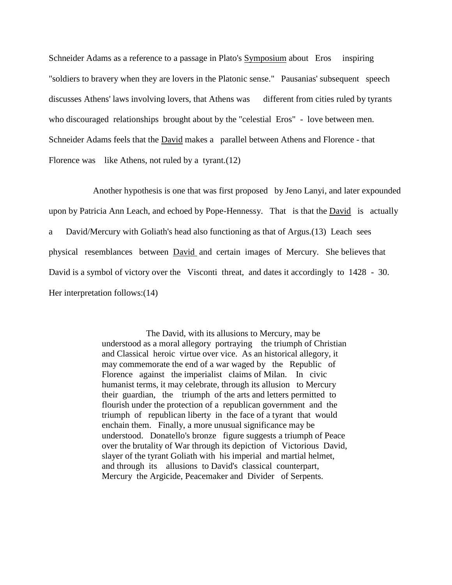Schneider Adams as a reference to a passage in Plato's Symposium about Eros inspiring "soldiers to bravery when they are lovers in the Platonic sense." Pausanias' subsequent speech discusses Athens' laws involving lovers, that Athens was different from cities ruled by tyrants who discouraged relationships brought about by the "celestial Eros" - love between men. Schneider Adams feels that the David makes a parallel between Athens and Florence - that Florence was like Athens, not ruled by a tyrant.(12)

Another hypothesis is one that was first proposed by Jeno Lanyi, and later expounded upon by Patricia Ann Leach, and echoed by Pope-Hennessy. That is that the David is actually a David/Mercury with Goliath's head also functioning as that of Argus.(13) Leach sees physical resemblances between David and certain images of Mercury. She believes that David is a symbol of victory over the Visconti threat, and dates it accordingly to 1428 - 30. Her interpretation follows:(14)

> The David, with its allusions to Mercury, may be understood as a moral allegory portraying the triumph of Christian and Classical heroic virtue over vice. As an historical allegory, it may commemorate the end of a war waged by the Republic of Florence against the imperialist claims of Milan. In civic humanist terms, it may celebrate, through its allusion to Mercury their guardian, the triumph of the arts and letters permitted to flourish under the protection of a republican government and the triumph of republican liberty in the face of a tyrant that would enchain them. Finally, a more unusual significance may be understood. Donatello's bronze figure suggests a triumph of Peace over the brutality of War through its depiction of Victorious David, slayer of the tyrant Goliath with his imperial and martial helmet, and through its allusions to David's classical counterpart, Mercury the Argicide, Peacemaker and Divider of Serpents.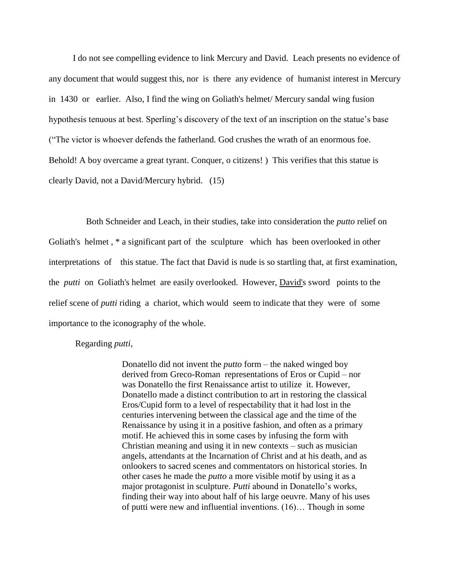I do not see compelling evidence to link Mercury and David. Leach presents no evidence of any document that would suggest this, nor is there any evidence of humanist interest in Mercury in 1430 or earlier. Also, I find the wing on Goliath's helmet/ Mercury sandal wing fusion hypothesis tenuous at best. Sperling's discovery of the text of an inscription on the statue's base ("The victor is whoever defends the fatherland. God crushes the wrath of an enormous foe. Behold! A boy overcame a great tyrant. Conquer, o citizens!) This verifies that this statue is clearly David, not a David/Mercury hybrid. (15)

Both Schneider and Leach, in their studies, take into consideration the *putto* relief on Goliath's helmet , \* a significant part of the sculpture which has been overlooked in other interpretations of this statue. The fact that David is nude is so startling that, at first examination, the *putti* on Goliath's helmet are easily overlooked. However, David's sword points to the relief scene of *putti* riding a chariot, which would seem to indicate that they were of some importance to the iconography of the whole.

## Regarding *putti*,

Donatello did not invent the *putto* form – the naked winged boy derived from Greco-Roman representations of Eros or Cupid – nor was Donatello the first Renaissance artist to utilize it. However, Donatello made a distinct contribution to art in restoring the classical Eros/Cupid form to a level of respectability that it had lost in the centuries intervening between the classical age and the time of the Renaissance by using it in a positive fashion, and often as a primary motif. He achieved this in some cases by infusing the form with Christian meaning and using it in new contexts – such as musician angels, attendants at the Incarnation of Christ and at his death, and as onlookers to sacred scenes and commentators on historical stories. In other cases he made the *putto* a more visible motif by using it as a major protagonist in sculpture. *Putti* abound in Donatello's works, finding their way into about half of his large oeuvre. Many of his uses of putti were new and influential inventions. (16)… Though in some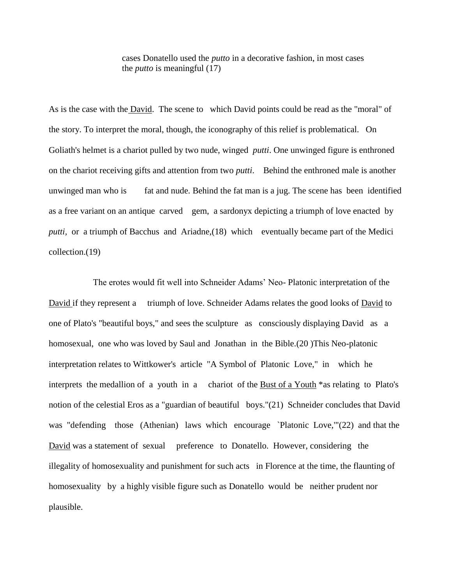cases Donatello used the *putto* in a decorative fashion, in most cases the *putto* is meaningful (17)

As is the case with the David. The scene to which David points could be read as the "moral" of the story. To interpret the moral, though, the iconography of this relief is problematical. On Goliath's helmet is a chariot pulled by two nude, winged *putti*. One unwinged figure is enthroned on the chariot receiving gifts and attention from two *putti*. Behind the enthroned male is another unwinged man who is fat and nude. Behind the fat man is a jug. The scene has been identified as a free variant on an antique carved gem, a sardonyx depicting a triumph of love enacted by *putti*, or a triumph of Bacchus and Ariadne, (18) which eventually became part of the Medici collection.(19)

The erotes would fit well into Schneider Adams' Neo- Platonic interpretation of the David if they represent a triumph of love. Schneider Adams relates the good looks of David to one of Plato's "beautiful boys," and sees the sculpture as consciously displaying David as a homosexual, one who was loved by Saul and Jonathan in the Bible.(20 )This Neo-platonic interpretation relates to Wittkower's article "A Symbol of Platonic Love," in which he interprets the medallion of a youth in a chariot of the Bust of a Youth \*as relating to Plato's notion of the celestial Eros as a "guardian of beautiful boys."(21) Schneider concludes that David was "defending those (Athenian) laws which encourage `Platonic Love," (22) and that the David was a statement of sexual preference to Donatello. However, considering the illegality of homosexuality and punishment for such acts in Florence at the time, the flaunting of homosexuality by a highly visible figure such as Donatello would be neither prudent nor plausible.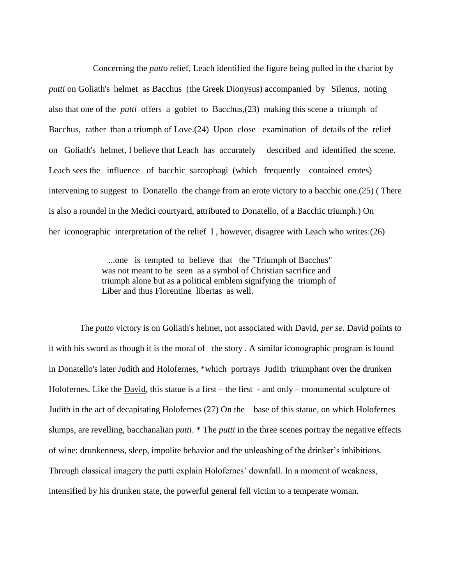Concerning the *putto* relief, Leach identified the figure being pulled in the chariot by *putti* on Goliath's helmet as Bacchus (the Greek Dionysus) accompanied by Silenus, noting also that one of the *putti* offers a goblet to Bacchus,(23) making this scene a triumph of Bacchus, rather than a triumph of Love.(24) Upon close examination of details of the relief on Goliath's helmet, I believe that Leach has accurately described and identified the scene. Leach sees the influence of bacchic sarcophagi (which frequently contained erotes) intervening to suggest to Donatello the change from an erote victory to a bacchic one.(25) ( There is also a roundel in the Medici courtyard, attributed to Donatello, of a Bacchic triumph.) On her iconographic interpretation of the relief I, however, disagree with Leach who writes:(26)

> ...one is tempted to believe that the "Triumph of Bacchus" was not meant to be seen as a symbol of Christian sacrifice and triumph alone but as a political emblem signifying the triumph of Liber and thus Florentine libertas as well.

The *putto* victory is on Goliath's helmet, not associated with David, *per se.* David points to it with his sword as though it is the moral of the story . A similar iconographic program is found in Donatello's later Judith and Holofernes, \*which portrays Judith triumphant over the drunken Holofernes. Like the <u>David</u>, this statue is a first – the first – and only – monumental sculpture of Judith in the act of decapitating Holofernes (27) On the base of this statue, on which Holofernes slumps, are revelling, bacchanalian *putti*. \* The *putti* in the three scenes portray the negative effects of wine: drunkenness, sleep, impolite behavior and the unleashing of the drinker's inhibitions. Through classical imagery the putti explain Holofernes' downfall. In a moment of weakness, intensified by his drunken state, the powerful general fell victim to a temperate woman.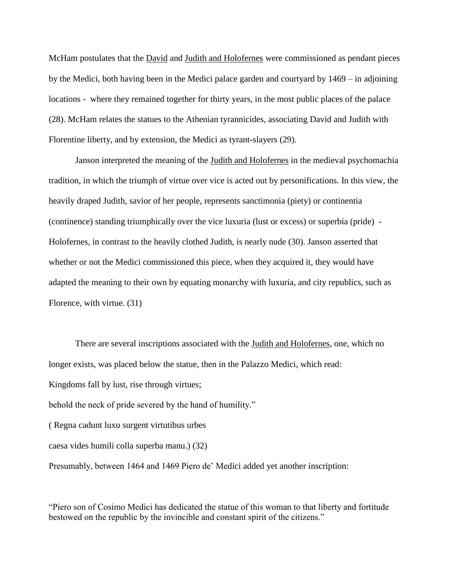McHam postulates that the David and Judith and Holofernes were commissioned as pendant pieces by the Medici, both having been in the Medici palace garden and courtyard by 1469 – in adjoining locations - where they remained together for thirty years, in the most public places of the palace (28). McHam relates the statues to the Athenian tyrannicides, associating David and Judith with Florentine liberty, and by extension, the Medici as tyrant-slayers (29).

Janson interpreted the meaning of the Judith and Holofernes in the medieval psychomachia tradition, in which the triumph of virtue over vice is acted out by personifications. In this view, the heavily draped Judith, savior of her people, represents sanctimonia (piety) or continentia (continence) standing triumphically over the vice luxuria (lust or excess) or superbia (pride) - Holofernes, in contrast to the heavily clothed Judith, is nearly nude (30). Janson asserted that whether or not the Medici commissioned this piece, when they acquired it, they would have adapted the meaning to their own by equating monarchy with luxuria, and city republics, such as Florence, with virtue. (31)

There are several inscriptions associated with the Judith and Holofernes, one, which no longer exists, was placed below the statue, then in the Palazzo Medici, which read: Kingdoms fall by lust, rise through virtues;

behold the neck of pride severed by the hand of humility."

( Regna cadunt luxu surgent virtutibus urbes

caesa vides humili colla superba manu.) (32)

Presumably, between 1464 and 1469 Piero de' Medici added yet another inscription:

"Piero son of Cosimo Medici has dedicated the statue of this woman to that liberty and fortitude bestowed on the republic by the invincible and constant spirit of the citizens."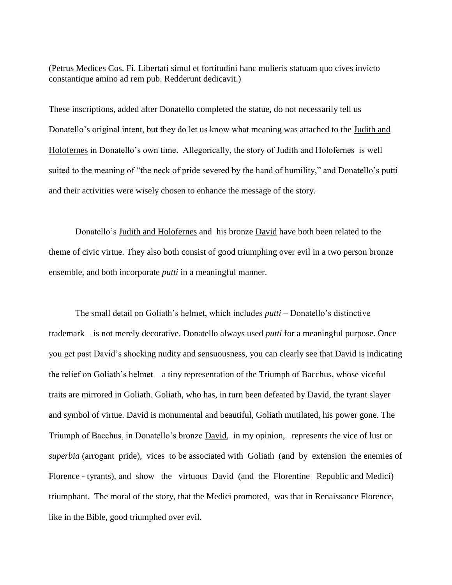(Petrus Medices Cos. Fi. Libertati simul et fortitudini hanc mulieris statuam quo cives invicto constantique amino ad rem pub. Redderunt dedicavit.)

These inscriptions, added after Donatello completed the statue, do not necessarily tell us Donatello's original intent, but they do let us know what meaning was attached to the Judith and Holofernes in Donatello's own time. Allegorically, the story of Judith and Holofernes is well suited to the meaning of "the neck of pride severed by the hand of humility," and Donatello's putti and their activities were wisely chosen to enhance the message of the story.

Donatello's Judith and Holofernes and his bronze David have both been related to the theme of civic virtue. They also both consist of good triumphing over evil in a two person bronze ensemble, and both incorporate *putti* in a meaningful manner.

The small detail on Goliath's helmet, which includes *putti* – Donatello's distinctive trademark – is not merely decorative. Donatello always used *putti* for a meaningful purpose. Once you get past David's shocking nudity and sensuousness, you can clearly see that David is indicating the relief on Goliath's helmet – a tiny representation of the Triumph of Bacchus, whose viceful traits are mirrored in Goliath. Goliath, who has, in turn been defeated by David, the tyrant slayer and symbol of virtue. David is monumental and beautiful, Goliath mutilated, his power gone. The Triumph of Bacchus, in Donatello's bronze David, in my opinion, represents the vice of lust or *superbia* (arrogant pride), vices to be associated with Goliath (and by extension the enemies of Florence - tyrants), and show the virtuous David (and the Florentine Republic and Medici) triumphant. The moral of the story, that the Medici promoted, was that in Renaissance Florence, like in the Bible, good triumphed over evil.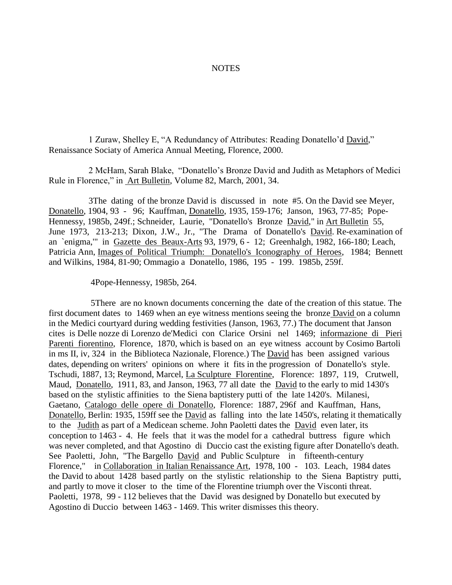#### NOTES

1 Zuraw, Shelley E, "A Redundancy of Attributes: Reading Donatello'd David," Renaissance Sociaty of America Annual Meeting, Florence, 2000.

2 McHam, Sarah Blake, "Donatello's Bronze David and Judith as Metaphors of Medici Rule in Florence," in Art Bulletin, Volume 82, March, 2001, 34.

3The dating of the bronze David is discussed in note #5. On the David see Meyer, Donatello, 1904, 93 - 96; Kauffman, Donatello, 1935, 159-176; Janson, 1963, 77-85; Pope-Hennessy, 1985b, 249f.; Schneider, Laurie, "Donatello's Bronze David," in Art Bulletin 55, June 1973, 213-213; Dixon, J.W., Jr., "The Drama of Donatello's David. Re-examination of an `enigma,'" in Gazette des Beaux-Arts 93, 1979, 6 - 12; Greenhalgh, 1982, 166-180; Leach, Patricia Ann, Images of Political Triumph: Donatello's Iconography of Heroes, 1984; Bennett and Wilkins, 1984, 81-90; Ommagio a Donatello, 1986, 195 - 199. 1985b, 259f.

4Pope-Hennessy, 1985b, 264.

5There are no known documents concerning the date of the creation of this statue. The first document dates to 1469 when an eye witness mentions seeing the bronze David on a column in the Medici courtyard during wedding festivities (Janson, 1963, 77.) The document that Janson cites is Delle nozze di Lorenzo de'Medici con Clarice Orsini nel 1469; informazione di Pieri Parenti fiorentino, Florence, 1870, which is based on an eye witness account by Cosimo Bartoli in ms II, iv, 324 in the Biblioteca Nazionale, Florence.) The David has been assigned various dates, depending on writers' opinions on where it fits in the progression of Donatello's style. Tschudi, 1887, 13; Reymond, Marcel, La Sculpture Florentine, Florence: 1897, 119, Crutwell, Maud, Donatello, 1911, 83, and Janson, 1963, 77 all date the David to the early to mid 1430's based on the stylistic affinities to the Siena baptistery putti of the late 1420's. Milanesi, Gaetano, Catalogo delle opere di Donatello, Florence: 1887, 296f and Kauffman, Hans, Donatello, Berlin: 1935, 159ff see the David as falling into the late 1450's, relating it thematically to the Judith as part of a Medicean scheme. John Paoletti dates the David even later, its conception to 1463 - 4. He feels that it was the model for a cathedral buttress figure which was never completed, and that Agostino di Duccio cast the existing figure after Donatello's death. See Paoletti, John, "The Bargello David and Public Sculpture in fifteenth-century Florence," in Collaboration in Italian Renaissance Art, 1978, 100 - 103. Leach, 1984 dates the David to about 1428 based partly on the stylistic relationship to the Siena Baptistry putti, and partly to move it closer to the time of the Florentine triumph over the Visconti threat. Paoletti, 1978, 99 - 112 believes that the David was designed by Donatello but executed by Agostino di Duccio between 1463 - 1469. This writer dismisses this theory.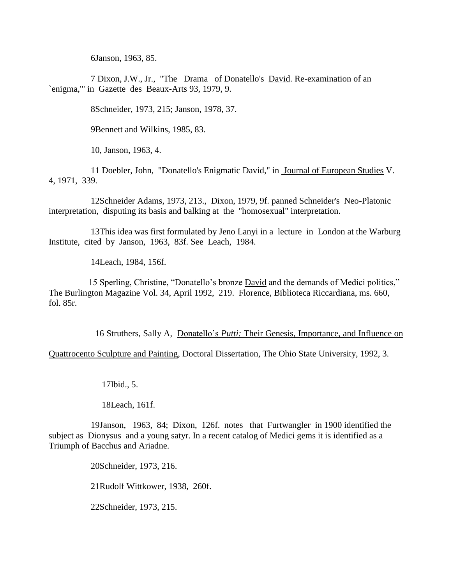6Janson, 1963, 85.

 7 Dixon, J.W., Jr., "The Drama of Donatello's David. Re-examination of an `enigma,'" in Gazette des Beaux-Arts 93, 1979, 9.

8Schneider, 1973, 215; Janson, 1978, 37.

9Bennett and Wilkins, 1985, 83.

10, Janson, 1963, 4.

11 Doebler, John, "Donatello's Enigmatic David," in Journal of European Studies V. 4, 1971, 339.

12Schneider Adams, 1973, 213., Dixon, 1979, 9f. panned Schneider's Neo-Platonic interpretation, disputing its basis and balking at the "homosexual" interpretation.

13This idea was first formulated by Jeno Lanyi in a lecture in London at the Warburg Institute, cited by Janson, 1963, 83f. See Leach, 1984.

14Leach, 1984, 156f.

 15 Sperling, Christine, "Donatello's bronze David and the demands of Medici politics," The Burlington Magazine Vol. 34, April 1992, 219. Florence, Biblioteca Riccardiana, ms. 660, fol. 85r.

16 Struthers, Sally A, Donatello's *Putti:* Their Genesis, Importance, and Influence on

Quattrocento Sculpture and Painting, Doctoral Dissertation, The Ohio State University, 1992, 3.

17Ibid., 5.

18Leach, 161f.

19Janson, 1963, 84; Dixon, 126f. notes that Furtwangler in 1900 identified the subject as Dionysus and a young satyr. In a recent catalog of Medici gems it is identified as a Triumph of Bacchus and Ariadne.

> 20Schneider, 1973, 216. 21Rudolf Wittkower, 1938, 260f. 22Schneider, 1973, 215.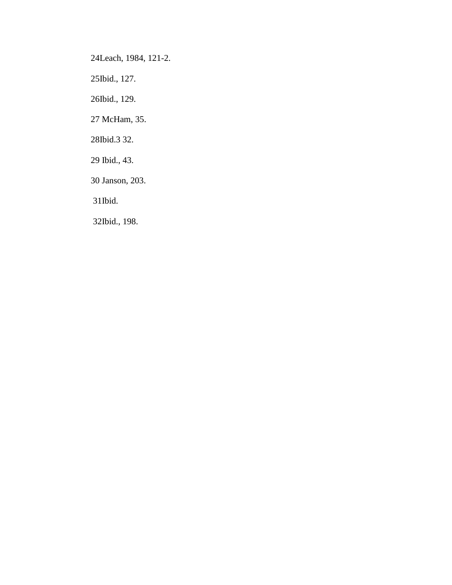24Leach, 1984, 121-2.

25Ibid., 127.

26Ibid., 129.

27 McHam, 35.

28Ibid.3 32.

29 Ibid., 43.

30 Janson, 203.

31Ibid.

32Ibid., 198.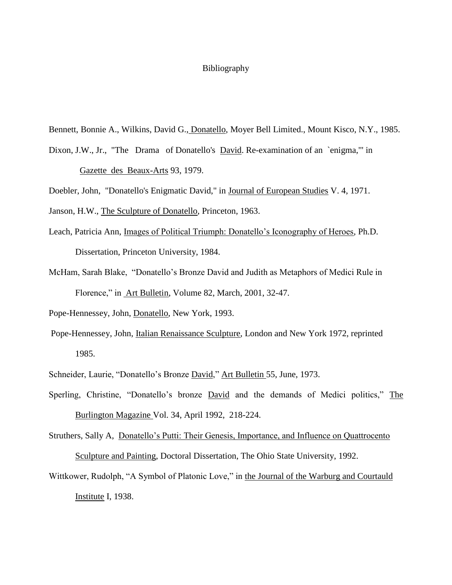#### Bibliography

- Bennett, Bonnie A., Wilkins, David G., Donatello, Moyer Bell Limited., Mount Kisco, N.Y., 1985.
- Dixon, J.W., Jr., "The Drama of Donatello's David. Re-examination of an `enigma," in Gazette des Beaux-Arts 93, 1979.

Doebler, John, "Donatello's Enigmatic David," in Journal of European Studies V. 4, 1971. Janson, H.W., The Sculpture of Donatello, Princeton, 1963.

- Leach, Patricia Ann, Images of Political Triumph: Donatello's Iconography of Heroes, Ph.D. Dissertation, Princeton University, 1984.
- McHam, Sarah Blake, "Donatello's Bronze David and Judith as Metaphors of Medici Rule in Florence," in Art Bulletin, Volume 82, March, 2001, 32-47.
- Pope-Hennessey, John, Donatello, New York, 1993.
- Pope-Hennessey, John, Italian Renaissance Sculpture, London and New York 1972, reprinted 1985.
- Schneider, Laurie, "Donatello's Bronze David," Art Bulletin 55, June, 1973.
- Sperling, Christine, "Donatello's bronze David and the demands of Medici politics," The Burlington Magazine Vol. 34, April 1992, 218-224.
- Struthers, Sally A, Donatello's Putti: Their Genesis, Importance, and Influence on Quattrocento Sculpture and Painting, Doctoral Dissertation, The Ohio State University, 1992.
- Wittkower, Rudolph, "A Symbol of Platonic Love," in the Journal of the Warburg and Courtauld Institute I, 1938.